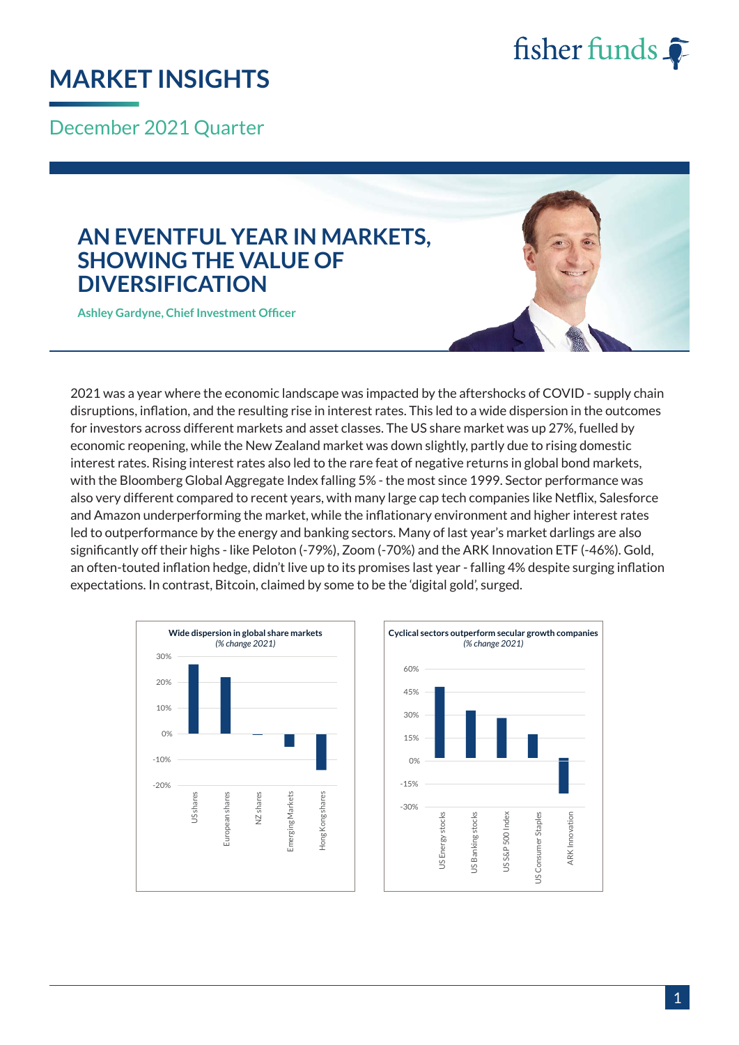

## **MARKET INSIGHTS**

December 2021 Quarter

### **AN EVENTFUL YEAR IN MARKETS, SHOWING THE VALUE OF DIVERSIFICATION**

**Ashley Gardyne, Chief Investment Officer**

2021 was a year where the economic landscape was impacted by the aftershocks of COVID - supply chain disruptions, inflation, and the resulting rise in interest rates. This led to a wide dispersion in the outcomes for investors across different markets and asset classes. The US share market was up 27%, fuelled by economic reopening, while the New Zealand market was down slightly, partly due to rising domestic interest rates. Rising interest rates also led to the rare feat of negative returns in global bond markets, with the Bloomberg Global Aggregate Index falling 5% - the most since 1999. Sector performance was also very different compared to recent years, with many large cap tech companies like Netflix, Salesforce and Amazon underperforming the market, while the inflationary environment and higher interest rates led to outperformance by the energy and banking sectors. Many of last year's market darlings are also significantly off their highs - like Peloton (-79%), Zoom (-70%) and the ARK Innovation ETF (-46%). Gold, an often-touted inflation hedge, didn't live up to its promises last year - falling 4% despite surging inflation expectations. In contrast, Bitcoin, claimed by some to be the 'digital gold', surged.



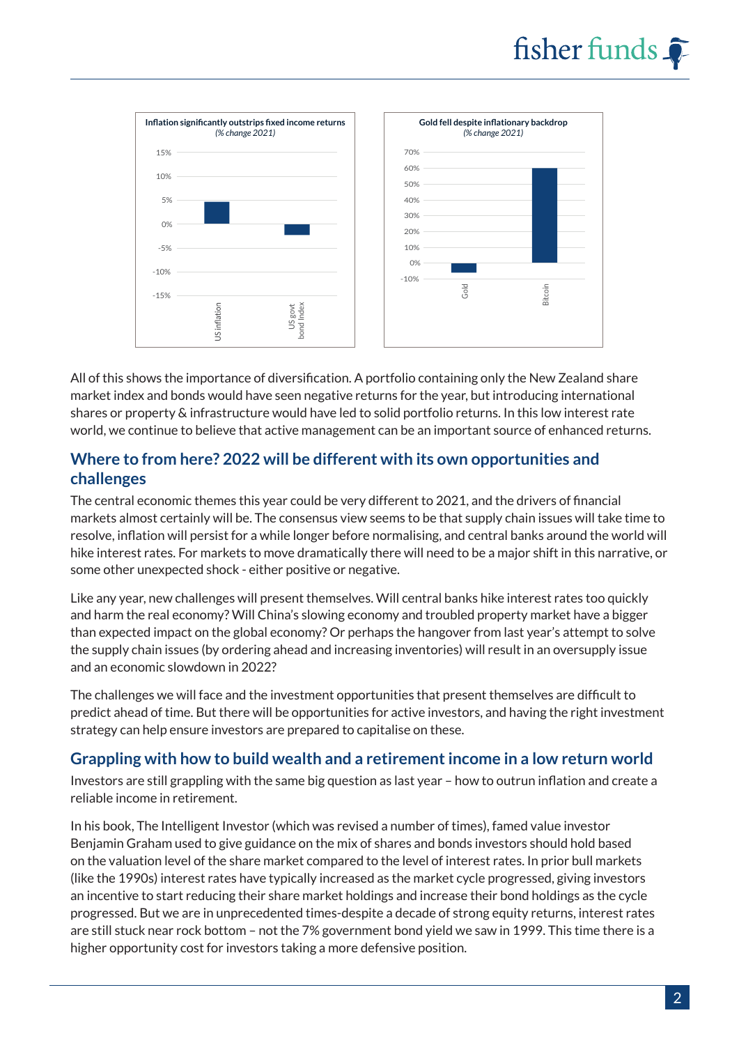



All of this shows the importance of diversification. A portfolio containing only the New Zealand share market index and bonds would have seen negative returns for the year, but introducing international shares or property & infrastructure would have led to solid portfolio returns. In this low interest rate world, we continue to believe that active management can be an important source of enhanced returns.

#### **Where to from here? 2022 will be different with its own opportunities and challenges**

The central economic themes this year could be very different to 2021, and the drivers of financial markets almost certainly will be. The consensus view seems to be that supply chain issues will take time to resolve, inflation will persist for a while longer before normalising, and central banks around the world will hike interest rates. For markets to move dramatically there will need to be a major shift in this narrative, or some other unexpected shock - either positive or negative.

Like any year, new challenges will present themselves. Will central banks hike interest rates too quickly and harm the real economy? Will China's slowing economy and troubled property market have a bigger than expected impact on the global economy? Or perhaps the hangover from last year's attempt to solve the supply chain issues (by ordering ahead and increasing inventories) will result in an oversupply issue and an economic slowdown in 2022?

The challenges we will face and the investment opportunities that present themselves are difficult to predict ahead of time. But there will be opportunities for active investors, and having the right investment strategy can help ensure investors are prepared to capitalise on these.

#### **Grappling with how to build wealth and a retirement income in a low return world**

Investors are still grappling with the same big question as last year – how to outrun inflation and create a reliable income in retirement.

In his book, The Intelligent Investor (which was revised a number of times), famed value investor Benjamin Graham used to give guidance on the mix of shares and bonds investors should hold based on the valuation level of the share market compared to the level of interest rates. In prior bull markets (like the 1990s) interest rates have typically increased as the market cycle progressed, giving investors an incentive to start reducing their share market holdings and increase their bond holdings as the cycle progressed. But we are in unprecedented times-despite a decade of strong equity returns, interest rates are still stuck near rock bottom – not the 7% government bond yield we saw in 1999. This time there is a higher opportunity cost for investors taking a more defensive position.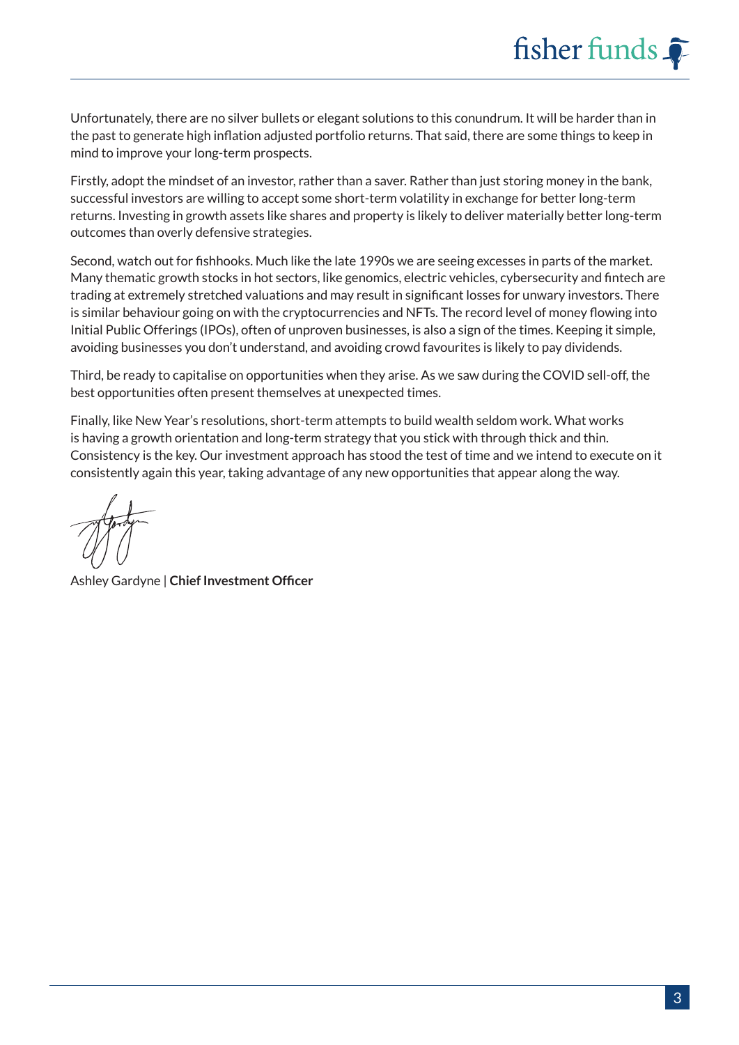Unfortunately, there are no silver bullets or elegant solutions to this conundrum. It will be harder than in the past to generate high inflation adjusted portfolio returns. That said, there are some things to keep in mind to improve your long-term prospects.

Firstly, adopt the mindset of an investor, rather than a saver. Rather than just storing money in the bank, successful investors are willing to accept some short-term volatility in exchange for better long-term returns. Investing in growth assets like shares and property is likely to deliver materially better long-term outcomes than overly defensive strategies.

Second, watch out for fishhooks. Much like the late 1990s we are seeing excesses in parts of the market. Many thematic growth stocks in hot sectors, like genomics, electric vehicles, cybersecurity and fintech are trading at extremely stretched valuations and may result in significant losses for unwary investors. There is similar behaviour going on with the cryptocurrencies and NFTs. The record level of money flowing into Initial Public Offerings (IPOs), often of unproven businesses, is also a sign of the times. Keeping it simple, avoiding businesses you don't understand, and avoiding crowd favourites is likely to pay dividends.

Third, be ready to capitalise on opportunities when they arise. As we saw during the COVID sell-off, the best opportunities often present themselves at unexpected times.

Finally, like New Year's resolutions, short-term attempts to build wealth seldom work. What works is having a growth orientation and long-term strategy that you stick with through thick and thin. Consistency is the key. Our investment approach has stood the test of time and we intend to execute on it consistently again this year, taking advantage of any new opportunities that appear along the way.

Ashley Gardyne | **Chief Investment Officer**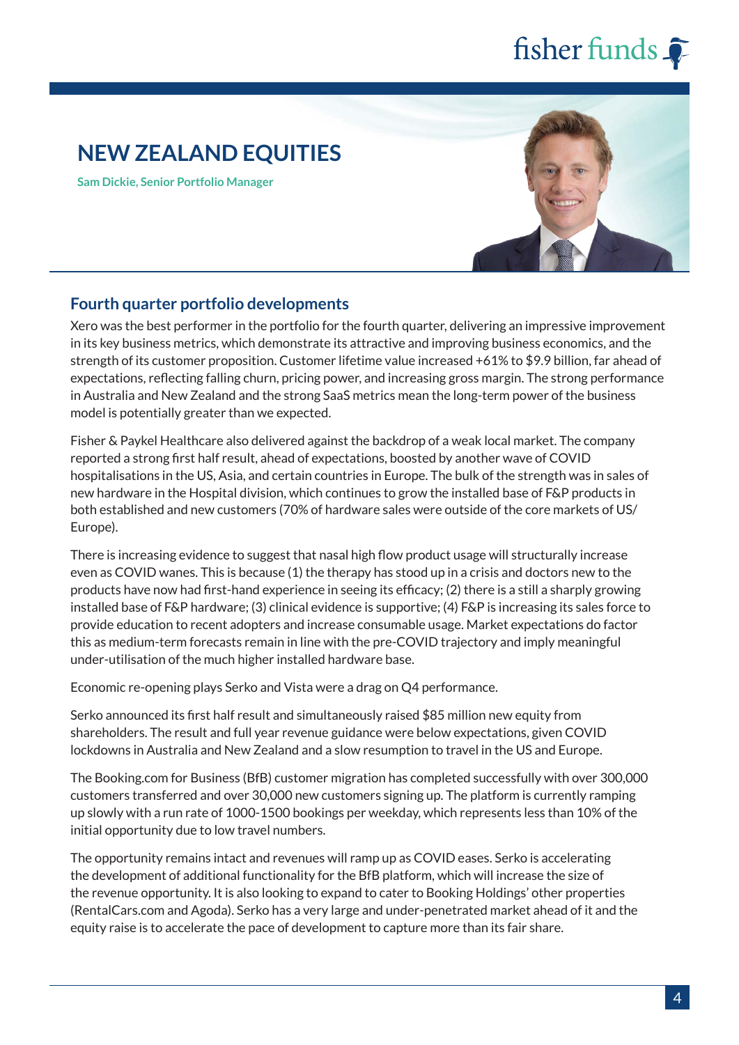### **NEW ZEALAND EQUITIES**

**Sam Dickie, Senior Portfolio Manager**



#### **Fourth quarter portfolio developments**

Xero was the best performer in the portfolio for the fourth quarter, delivering an impressive improvement in its key business metrics, which demonstrate its attractive and improving business economics, and the strength of its customer proposition. Customer lifetime value increased +61% to \$9.9 billion, far ahead of expectations, reflecting falling churn, pricing power, and increasing gross margin. The strong performance in Australia and New Zealand and the strong SaaS metrics mean the long-term power of the business model is potentially greater than we expected.

Fisher & Paykel Healthcare also delivered against the backdrop of a weak local market. The company reported a strong first half result, ahead of expectations, boosted by another wave of COVID hospitalisations in the US, Asia, and certain countries in Europe. The bulk of the strength was in sales of new hardware in the Hospital division, which continues to grow the installed base of F&P products in both established and new customers (70% of hardware sales were outside of the core markets of US/ Europe).

There is increasing evidence to suggest that nasal high flow product usage will structurally increase even as COVID wanes. This is because (1) the therapy has stood up in a crisis and doctors new to the products have now had first-hand experience in seeing its efficacy; (2) there is a still a sharply growing installed base of F&P hardware; (3) clinical evidence is supportive; (4) F&P is increasing its sales force to provide education to recent adopters and increase consumable usage. Market expectations do factor this as medium-term forecasts remain in line with the pre-COVID trajectory and imply meaningful under-utilisation of the much higher installed hardware base.

Economic re-opening plays Serko and Vista were a drag on Q4 performance.

Serko announced its first half result and simultaneously raised \$85 million new equity from shareholders. The result and full year revenue guidance were below expectations, given COVID lockdowns in Australia and New Zealand and a slow resumption to travel in the US and Europe.

The Booking.com for Business (BfB) customer migration has completed successfully with over 300,000 customers transferred and over 30,000 new customers signing up. The platform is currently ramping up slowly with a run rate of 1000-1500 bookings per weekday, which represents less than 10% of the initial opportunity due to low travel numbers.

The opportunity remains intact and revenues will ramp up as COVID eases. Serko is accelerating the development of additional functionality for the BfB platform, which will increase the size of the revenue opportunity. It is also looking to expand to cater to Booking Holdings' other properties (RentalCars.com and Agoda). Serko has a very large and under-penetrated market ahead of it and the equity raise is to accelerate the pace of development to capture more than its fair share.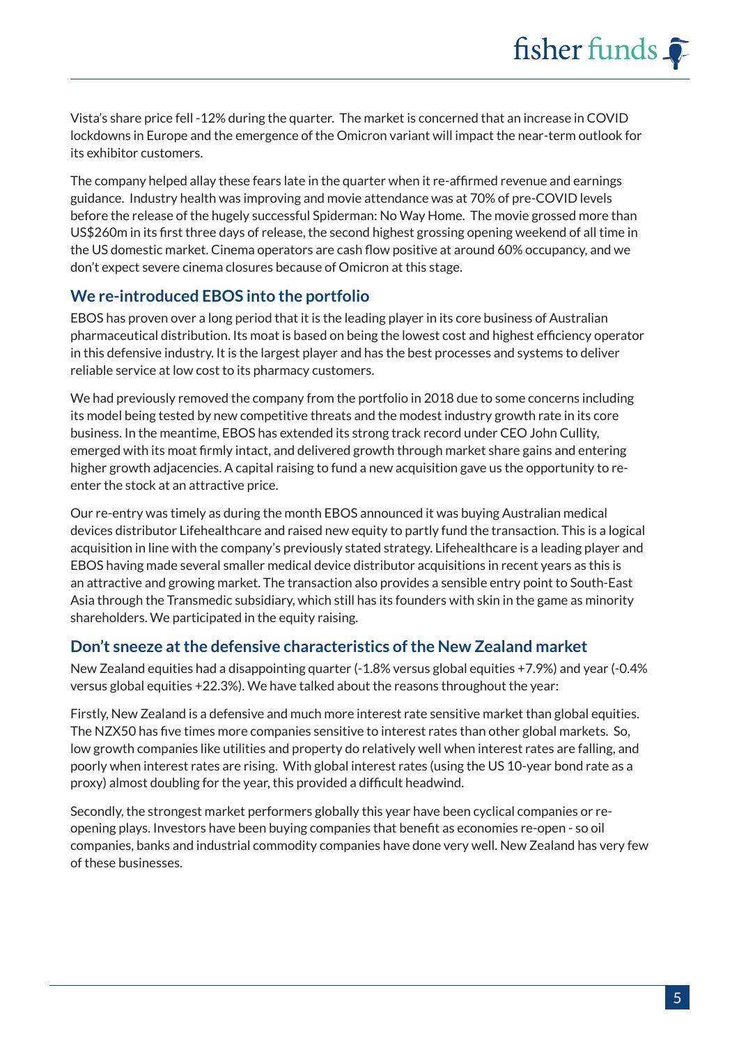Vista's share price fell -12% during the quarter. The market is concerned that an increase in COVID lockdowns in Europe and the emergence of the Omicron variant will impact the near-term outlook for its exhibitor customers.

The company helped allay these fears late in the quarter when it re-affirmed revenue and earnings guidance. Industry health was improving and movie attendance was at 70% of pre-COVID levels before the release of the hugely successful Spiderman: No Way Home. The movie grossed more than US\$260m in its first three days of release, the second highest grossing opening weekend of all time in the US domestic market. Cinema operators are cash flow positive at around 60% occupancy, and we don't expect severe cinema closures because of Omicron at this stage.

#### **We re-introduced EBOS into the portfolio**

EBOS has proven over a long period that it is the leading player in its core business of Australian pharmaceutical distribution. Its moat is based on being the lowest cost and highest efficiency operator in this defensive industry. It is the largest player and has the best processes and systems to deliver reliable service at low cost to its pharmacy customers.

We had previously removed the company from the portfolio in 2018 due to some concerns including its model being tested by new competitive threats and the modest industry growth rate in its core business. In the meantime, EBOS has extended its strong track record under CEO John Cullity, emerged with its moat firmly intact, and delivered growth through market share gains and entering higher growth adjacencies. A capital raising to fund a new acquisition gave us the opportunity to reenter the stock at an attractive price.

Our re-entry was timely as during the month EBOS announced it was buying Australian medical devices distributor Lifehealthcare and raised new equity to partly fund the transaction. This is a logical acquisition in line with the company's previously stated strategy. Lifehealthcare is a leading player and EBOS having made several smaller medical device distributor acquisitions in recent years as this is an attractive and growing market. The transaction also provides a sensible entry point to South-East Asia through the Transmedic subsidiary, which still has its founders with skin in the game as minority shareholders. We participated in the equity raising.

#### **Don't sneeze at the defensive characteristics of the New Zealand market**

New Zealand equities had a disappointing quarter (-1.8% versus global equities +7.9%) and year (-0.4% versus global equities +22.3%). We have talked about the reasons throughout the year:

Firstly, New Zealand is a defensive and much more interest rate sensitive market than global equities. The NZX50 has five times more companies sensitive to interest rates than other global markets. So, low growth companies like utilities and property do relatively well when interest rates are falling, and poorly when interest rates are rising. With global interest rates (using the US 10-year bond rate as a proxy) almost doubling for the year, this provided a difficult headwind.

Secondly, the strongest market performers globally this year have been cyclical companies or reopening plays. Investors have been buying companies that benefit as economies re-open - so oil companies, banks and industrial commodity companies have done very well. New Zealand has very few of these businesses.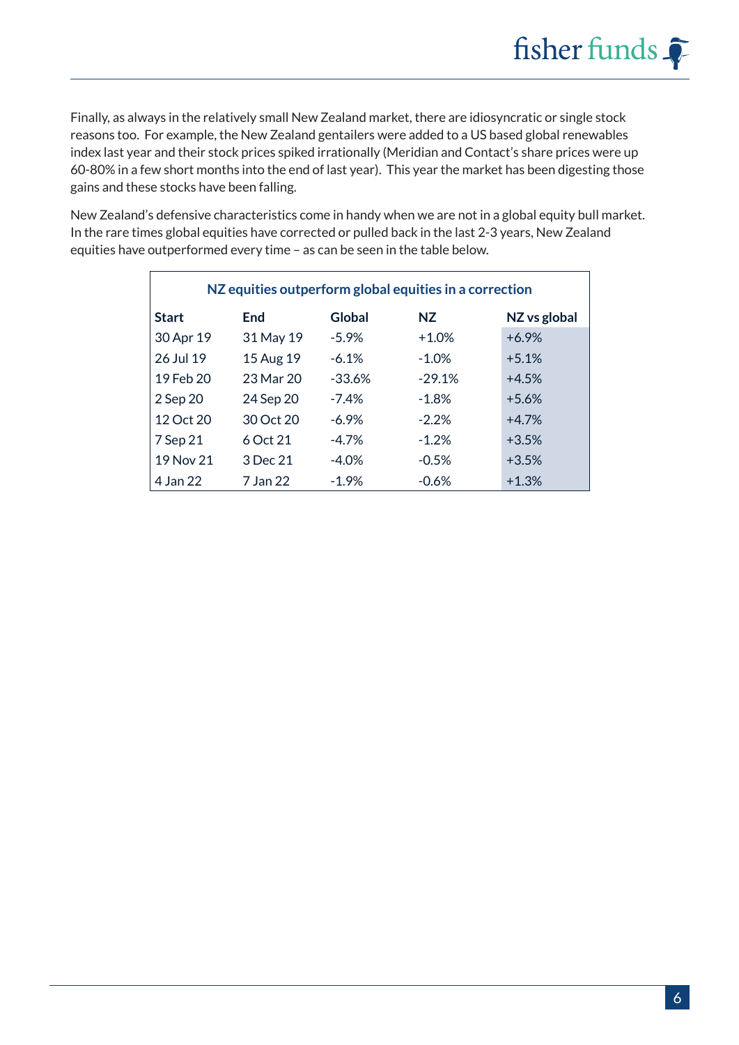Finally, as always in the relatively small New Zealand market, there are idiosyncratic or single stock reasons too. For example, the New Zealand gentailers were added to a US based global renewables index last year and their stock prices spiked irrationally (Meridian and Contact's share prices were up 60-80% in a few short months into the end of last year). This year the market has been digesting those gains and these stocks have been falling.

New Zealand's defensive characteristics come in handy when we are not in a global equity bull market. In the rare times global equities have corrected or pulled back in the last 2-3 years, New Zealand equities have outperformed every time – as can be seen in the table below.

| NZ equities outperform global equities in a correction |           |          |          |              |  |  |
|--------------------------------------------------------|-----------|----------|----------|--------------|--|--|
| <b>Start</b>                                           | End       | Global   | NZ.      | NZ vs global |  |  |
| 30 Apr 19                                              | 31 May 19 | $-5.9\%$ | $+1.0%$  | $+6.9%$      |  |  |
| 26 Jul 19                                              | 15 Aug 19 | $-6.1\%$ | $-1.0\%$ | $+5.1%$      |  |  |
| 19 Feb 20                                              | 23 Mar 20 | $-33.6%$ | $-29.1%$ | $+4.5%$      |  |  |
| 2 Sep 20                                               | 24 Sep 20 | $-7.4%$  | $-1.8%$  | $+5.6%$      |  |  |
| 12 Oct 20                                              | 30 Oct 20 | $-6.9\%$ | $-2.2\%$ | $+4.7%$      |  |  |
| 7 Sep 21                                               | 6 Oct 21  | $-4.7\%$ | $-1.2%$  | $+3.5%$      |  |  |
| 19 Nov 21                                              | 3 Dec 21  | $-4.0%$  | $-0.5%$  | $+3.5%$      |  |  |
| 4 Jan 22                                               | 7 Jan 22  | $-1.9%$  | $-0.6%$  | $+1.3%$      |  |  |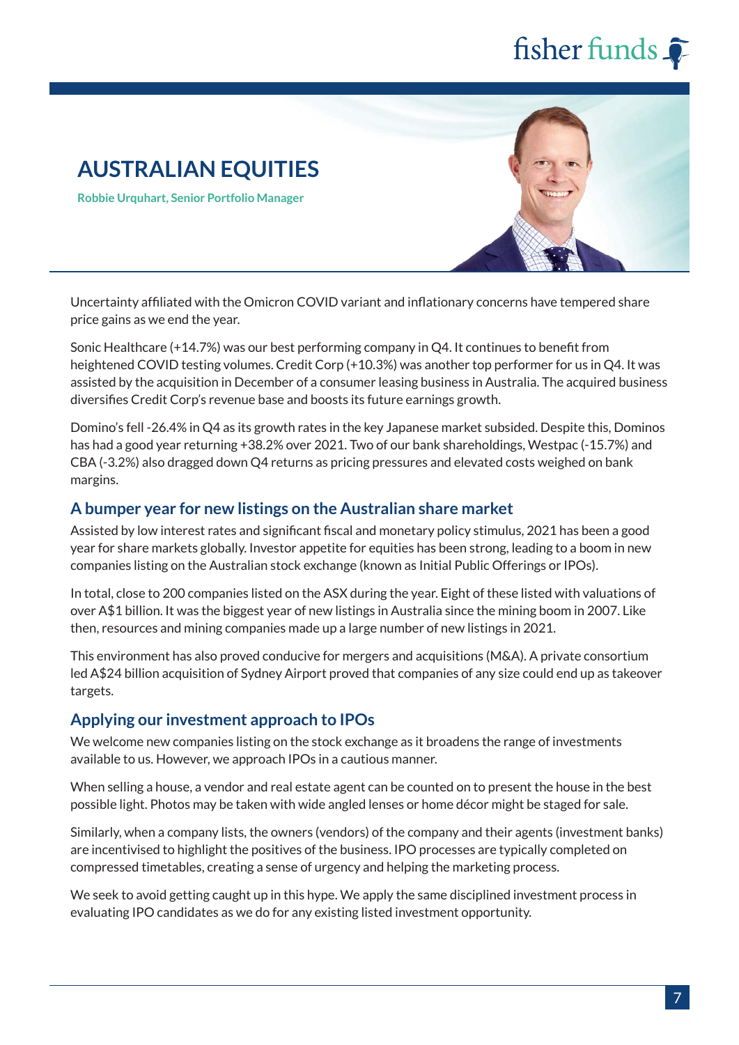## **AUSTRALIAN EQUITIES**

**Robbie Urquhart, Senior Portfolio Manager**



Uncertainty affiliated with the Omicron COVID variant and inflationary concerns have tempered share price gains as we end the year.

Sonic Healthcare (+14.7%) was our best performing company in Q4. It continues to benefit from heightened COVID testing volumes. Credit Corp (+10.3%) was another top performer for us in Q4. It was assisted by the acquisition in December of a consumer leasing business in Australia. The acquired business diversifies Credit Corp's revenue base and boosts its future earnings growth.

Domino's fell -26.4% in Q4 as its growth rates in the key Japanese market subsided. Despite this, Dominos has had a good year returning +38.2% over 2021. Two of our bank shareholdings, Westpac (-15.7%) and CBA (-3.2%) also dragged down Q4 returns as pricing pressures and elevated costs weighed on bank margins.

#### **A bumper year for new listings on the Australian share market**

Assisted by low interest rates and significant fiscal and monetary policy stimulus, 2021 has been a good year for share markets globally. Investor appetite for equities has been strong, leading to a boom in new companies listing on the Australian stock exchange (known as Initial Public Offerings or IPOs).

In total, close to 200 companies listed on the ASX during the year. Eight of these listed with valuations of over A\$1 billion. It was the biggest year of new listings in Australia since the mining boom in 2007. Like then, resources and mining companies made up a large number of new listings in 2021.

This environment has also proved conducive for mergers and acquisitions (M&A). A private consortium led A\$24 billion acquisition of Sydney Airport proved that companies of any size could end up as takeover targets.

#### **Applying our investment approach to IPOs**

We welcome new companies listing on the stock exchange as it broadens the range of investments available to us. However, we approach IPOs in a cautious manner.

When selling a house, a vendor and real estate agent can be counted on to present the house in the best possible light. Photos may be taken with wide angled lenses or home décor might be staged for sale.

Similarly, when a company lists, the owners (vendors) of the company and their agents (investment banks) are incentivised to highlight the positives of the business. IPO processes are typically completed on compressed timetables, creating a sense of urgency and helping the marketing process.

We seek to avoid getting caught up in this hype. We apply the same disciplined investment process in evaluating IPO candidates as we do for any existing listed investment opportunity.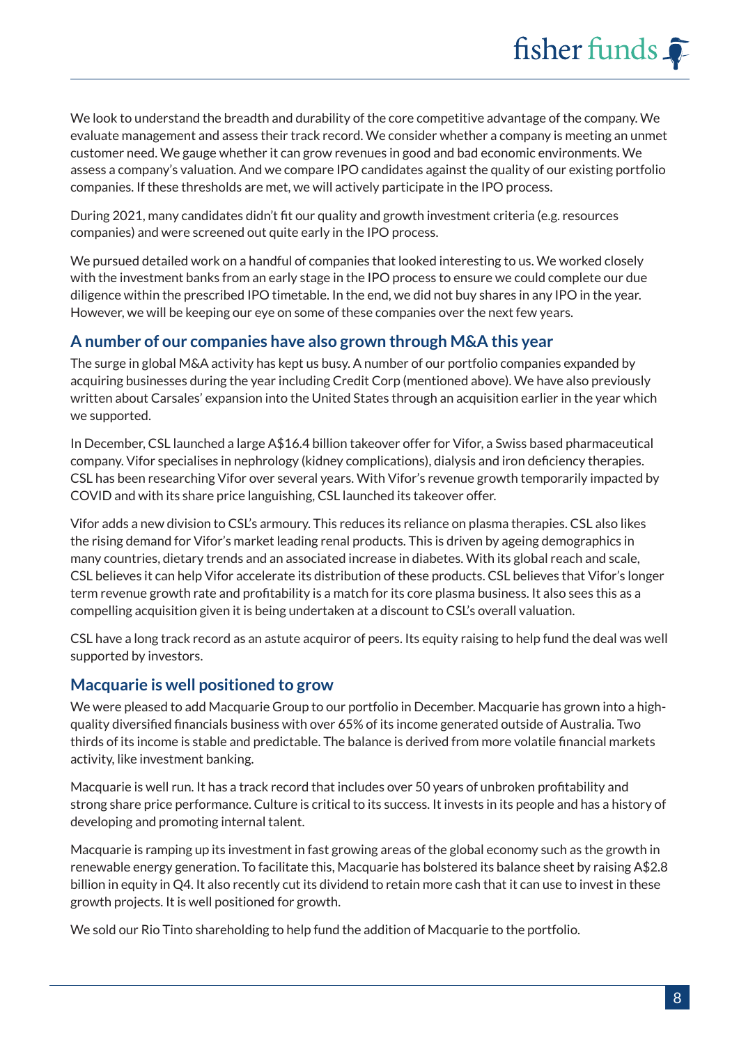We look to understand the breadth and durability of the core competitive advantage of the company. We evaluate management and assess their track record. We consider whether a company is meeting an unmet customer need. We gauge whether it can grow revenues in good and bad economic environments. We assess a company's valuation. And we compare IPO candidates against the quality of our existing portfolio companies. If these thresholds are met, we will actively participate in the IPO process.

During 2021, many candidates didn't fit our quality and growth investment criteria (e.g. resources companies) and were screened out quite early in the IPO process.

We pursued detailed work on a handful of companies that looked interesting to us. We worked closely with the investment banks from an early stage in the IPO process to ensure we could complete our due diligence within the prescribed IPO timetable. In the end, we did not buy shares in any IPO in the year. However, we will be keeping our eye on some of these companies over the next few years.

#### **A number of our companies have also grown through M&A this year**

The surge in global M&A activity has kept us busy. A number of our portfolio companies expanded by acquiring businesses during the year including Credit Corp (mentioned above). We have also previously written about Carsales' expansion into the United States through an acquisition earlier in the year which we supported.

In December, CSL launched a large A\$16.4 billion takeover offer for Vifor, a Swiss based pharmaceutical company. Vifor specialises in nephrology (kidney complications), dialysis and iron deficiency therapies. CSL has been researching Vifor over several years. With Vifor's revenue growth temporarily impacted by COVID and with its share price languishing, CSL launched its takeover offer.

Vifor adds a new division to CSL's armoury. This reduces its reliance on plasma therapies. CSL also likes the rising demand for Vifor's market leading renal products. This is driven by ageing demographics in many countries, dietary trends and an associated increase in diabetes. With its global reach and scale, CSL believes it can help Vifor accelerate its distribution of these products. CSL believes that Vifor's longer term revenue growth rate and profitability is a match for its core plasma business. It also sees this as a compelling acquisition given it is being undertaken at a discount to CSL's overall valuation.

CSL have a long track record as an astute acquiror of peers. Its equity raising to help fund the deal was well supported by investors.

#### **Macquarie is well positioned to grow**

We were pleased to add Macquarie Group to our portfolio in December. Macquarie has grown into a highquality diversified financials business with over 65% of its income generated outside of Australia. Two thirds of its income is stable and predictable. The balance is derived from more volatile financial markets activity, like investment banking.

Macquarie is well run. It has a track record that includes over 50 years of unbroken profitability and strong share price performance. Culture is critical to its success. It invests in its people and has a history of developing and promoting internal talent.

Macquarie is ramping up its investment in fast growing areas of the global economy such as the growth in renewable energy generation. To facilitate this, Macquarie has bolstered its balance sheet by raising A\$2.8 billion in equity in Q4. It also recently cut its dividend to retain more cash that it can use to invest in these growth projects. It is well positioned for growth.

We sold our Rio Tinto shareholding to help fund the addition of Macquarie to the portfolio.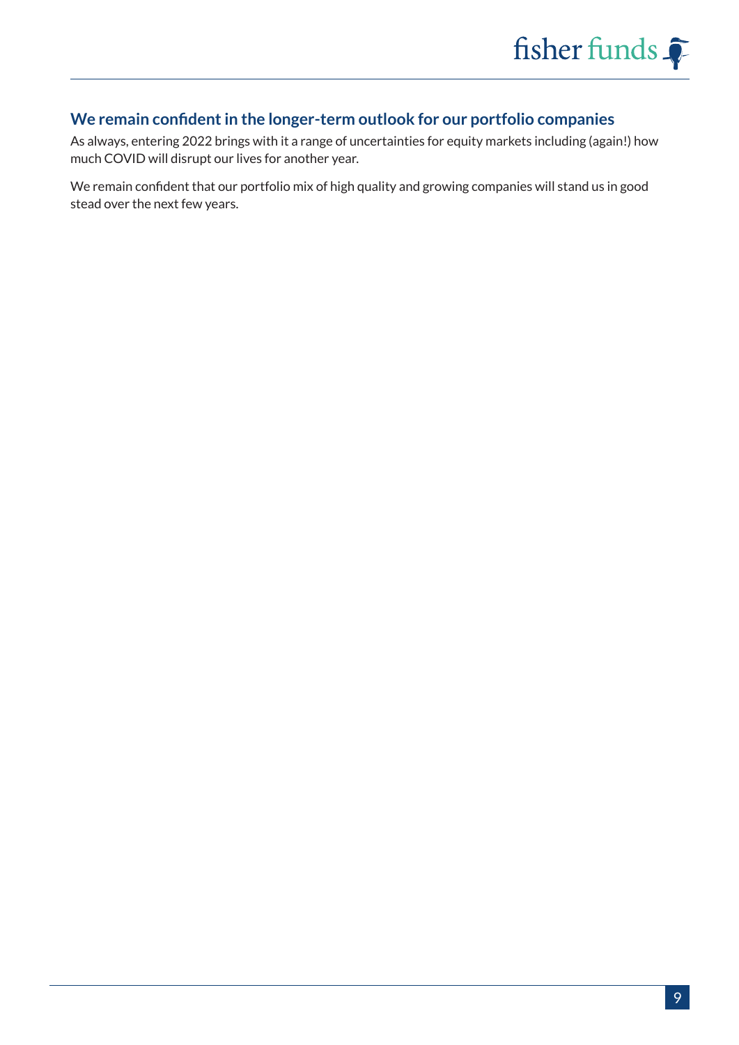#### **We remain confident in the longer-term outlook for our portfolio companies**

As always, entering 2022 brings with it a range of uncertainties for equity markets including (again!) how much COVID will disrupt our lives for another year.

We remain confident that our portfolio mix of high quality and growing companies will stand us in good stead over the next few years.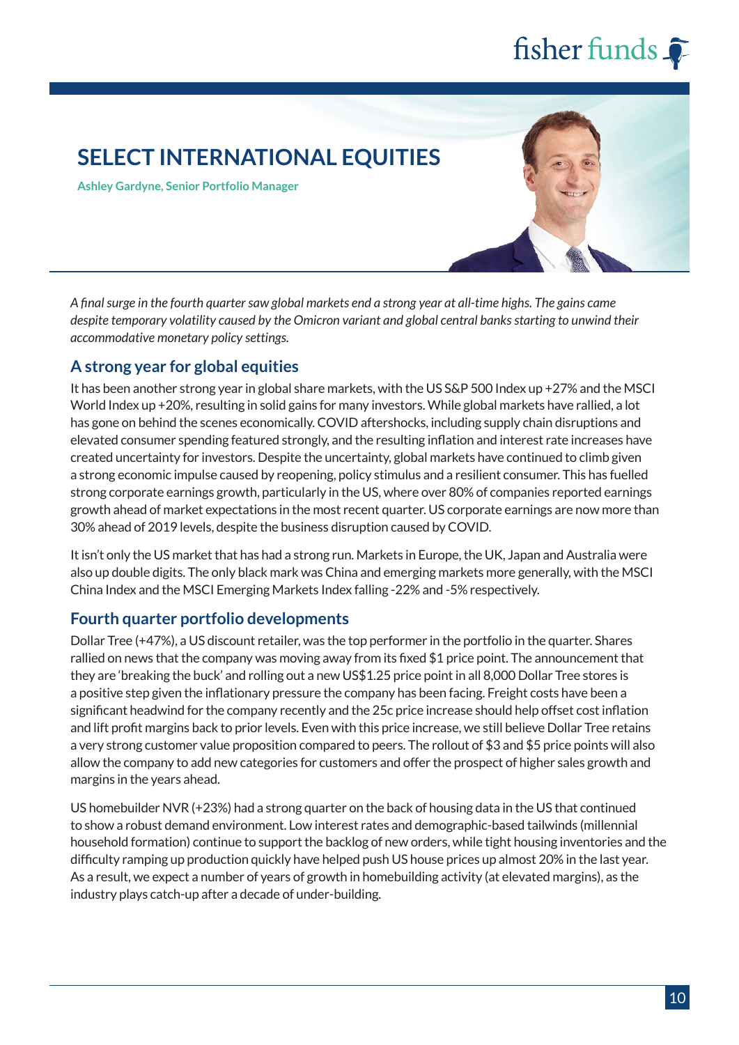## **SELECT INTERNATIONAL EQUITIES**

**Ashley Gardyne, Senior Portfolio Manager**

*A final surge in the fourth quarter saw global markets end a strong year at all-time highs. The gains came despite temporary volatility caused by the Omicron variant and global central banks starting to unwind their accommodative monetary policy settings.*

#### **A strong year for global equities**

It has been another strong year in global share markets, with the US S&P 500 Index up +27% and the MSCI World Index up +20%, resulting in solid gains for many investors. While global markets have rallied, a lot has gone on behind the scenes economically. COVID aftershocks, including supply chain disruptions and elevated consumer spending featured strongly, and the resulting inflation and interest rate increases have created uncertainty for investors. Despite the uncertainty, global markets have continued to climb given a strong economic impulse caused by reopening, policy stimulus and a resilient consumer. This has fuelled strong corporate earnings growth, particularly in the US, where over 80% of companies reported earnings growth ahead of market expectations in the most recent quarter. US corporate earnings are now more than 30% ahead of 2019 levels, despite the business disruption caused by COVID.

It isn't only the US market that has had a strong run. Markets in Europe, the UK, Japan and Australia were also up double digits. The only black mark was China and emerging markets more generally, with the MSCI China Index and the MSCI Emerging Markets Index falling -22% and -5% respectively.

#### **Fourth quarter portfolio developments**

Dollar Tree (+47%), a US discount retailer, was the top performer in the portfolio in the quarter. Shares rallied on news that the company was moving away from its fixed \$1 price point. The announcement that they are 'breaking the buck' and rolling out a new US\$1.25 price point in all 8,000 Dollar Tree stores is a positive step given the inflationary pressure the company has been facing. Freight costs have been a significant headwind for the company recently and the 25c price increase should help offset cost inflation and lift profit margins back to prior levels. Even with this price increase, we still believe Dollar Tree retains a very strong customer value proposition compared to peers. The rollout of \$3 and \$5 price points will also allow the company to add new categories for customers and offer the prospect of higher sales growth and margins in the years ahead.

US homebuilder NVR (+23%) had a strong quarter on the back of housing data in the US that continued to show a robust demand environment. Low interest rates and demographic-based tailwinds (millennial household formation) continue to support the backlog of new orders, while tight housing inventories and the difficulty ramping up production quickly have helped push US house prices up almost 20% in the last year. As a result, we expect a number of years of growth in homebuilding activity (at elevated margins), as the industry plays catch-up after a decade of under-building.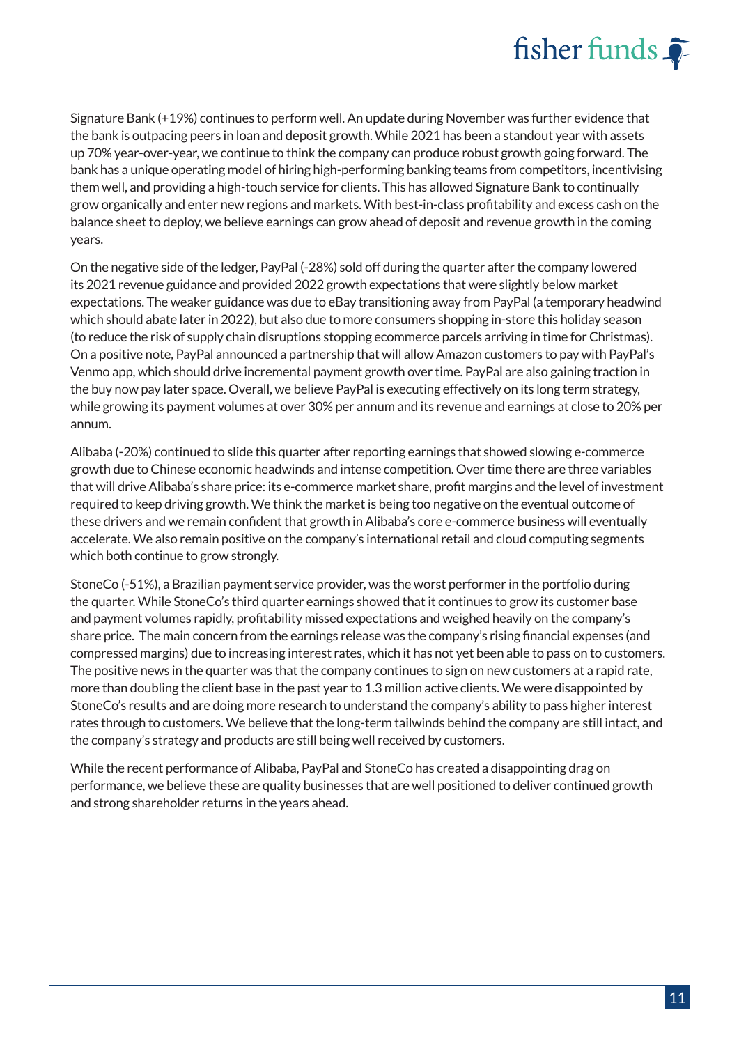Signature Bank (+19%) continues to perform well. An update during November was further evidence that the bank is outpacing peers in loan and deposit growth. While 2021 has been a standout year with assets up 70% year-over-year, we continue to think the company can produce robust growth going forward. The bank has a unique operating model of hiring high-performing banking teams from competitors, incentivising them well, and providing a high-touch service for clients. This has allowed Signature Bank to continually grow organically and enter new regions and markets. With best-in-class profitability and excess cash on the balance sheet to deploy, we believe earnings can grow ahead of deposit and revenue growth in the coming years.

On the negative side of the ledger, PayPal (-28%) sold off during the quarter after the company lowered its 2021 revenue guidance and provided 2022 growth expectations that were slightly below market expectations. The weaker guidance was due to eBay transitioning away from PayPal (a temporary headwind which should abate later in 2022), but also due to more consumers shopping in-store this holiday season (to reduce the risk of supply chain disruptions stopping ecommerce parcels arriving in time for Christmas). On a positive note, PayPal announced a partnership that will allow Amazon customers to pay with PayPal's Venmo app, which should drive incremental payment growth over time. PayPal are also gaining traction in the buy now pay later space. Overall, we believe PayPal is executing effectively on its long term strategy, while growing its payment volumes at over 30% per annum and its revenue and earnings at close to 20% per annum.

Alibaba (-20%) continued to slide this quarter after reporting earnings that showed slowing e-commerce growth due to Chinese economic headwinds and intense competition. Over time there are three variables that will drive Alibaba's share price: its e-commerce market share, profit margins and the level of investment required to keep driving growth. We think the market is being too negative on the eventual outcome of these drivers and we remain confident that growth in Alibaba's core e-commerce business will eventually accelerate. We also remain positive on the company's international retail and cloud computing segments which both continue to grow strongly.

StoneCo (-51%), a Brazilian payment service provider, was the worst performer in the portfolio during the quarter. While StoneCo's third quarter earnings showed that it continues to grow its customer base and payment volumes rapidly, profitability missed expectations and weighed heavily on the company's share price. The main concern from the earnings release was the company's rising financial expenses (and compressed margins) due to increasing interest rates, which it has not yet been able to pass on to customers. The positive news in the quarter was that the company continues to sign on new customers at a rapid rate, more than doubling the client base in the past year to 1.3 million active clients. We were disappointed by StoneCo's results and are doing more research to understand the company's ability to pass higher interest rates through to customers. We believe that the long-term tailwinds behind the company are still intact, and the company's strategy and products are still being well received by customers.

While the recent performance of Alibaba, PayPal and StoneCo has created a disappointing drag on performance, we believe these are quality businesses that are well positioned to deliver continued growth and strong shareholder returns in the years ahead.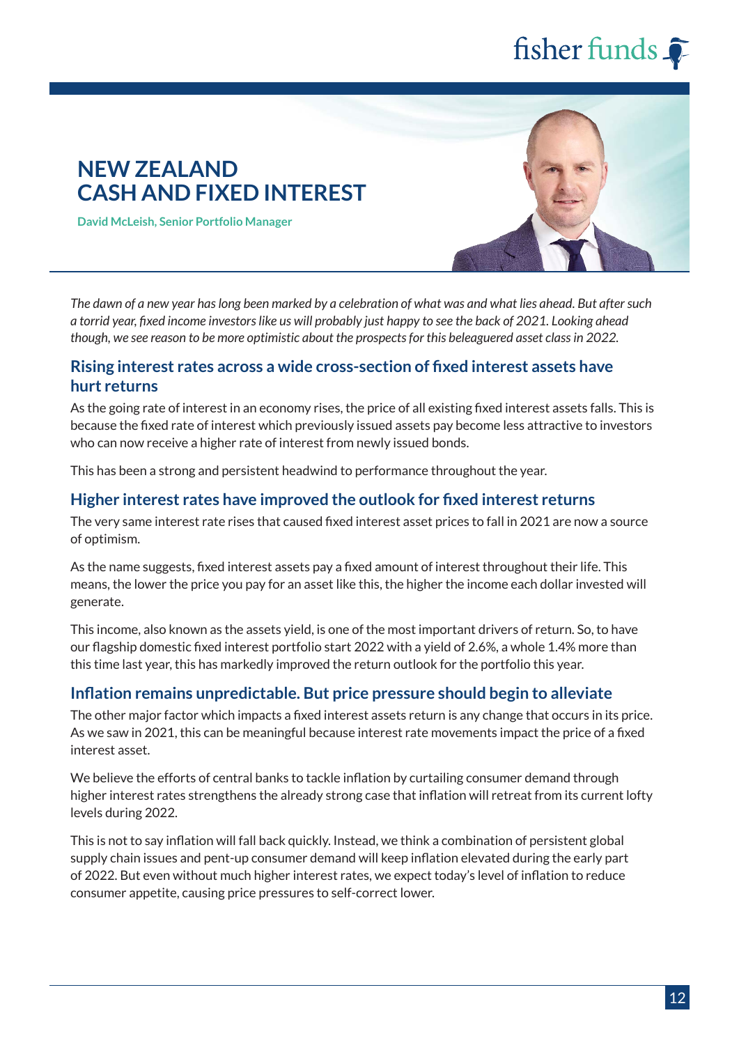### **NEW ZEALAND CASH AND FIXED INTEREST**

**David McLeish, Senior Portfolio Manager**

*The dawn of a new year has long been marked by a celebration of what was and what lies ahead. But after such a torrid year, fixed income investors like us will probably just happy to see the back of 2021. Looking ahead though, we see reason to be more optimistic about the prospects for this beleaguered asset class in 2022.*

#### **Rising interest rates across a wide cross-section of fixed interest assets have hurt returns**

As the going rate of interest in an economy rises, the price of all existing fixed interest assets falls. This is because the fixed rate of interest which previously issued assets pay become less attractive to investors who can now receive a higher rate of interest from newly issued bonds.

This has been a strong and persistent headwind to performance throughout the year.

#### **Higher interest rates have improved the outlook for fixed interest returns**

The very same interest rate rises that caused fixed interest asset prices to fall in 2021 are now a source of optimism.

As the name suggests, fixed interest assets pay a fixed amount of interest throughout their life. This means, the lower the price you pay for an asset like this, the higher the income each dollar invested will generate.

This income, also known as the assets yield, is one of the most important drivers of return. So, to have our flagship domestic fixed interest portfolio start 2022 with a yield of 2.6%, a whole 1.4% more than this time last year, this has markedly improved the return outlook for the portfolio this year.

#### **Inflation remains unpredictable. But price pressure should begin to alleviate**

The other major factor which impacts a fixed interest assets return is any change that occurs in its price. As we saw in 2021, this can be meaningful because interest rate movements impact the price of a fixed interest asset.

We believe the efforts of central banks to tackle inflation by curtailing consumer demand through higher interest rates strengthens the already strong case that inflation will retreat from its current lofty levels during 2022.

This is not to say inflation will fall back quickly. Instead, we think a combination of persistent global supply chain issues and pent-up consumer demand will keep inflation elevated during the early part of 2022. But even without much higher interest rates, we expect today's level of inflation to reduce consumer appetite, causing price pressures to self-correct lower.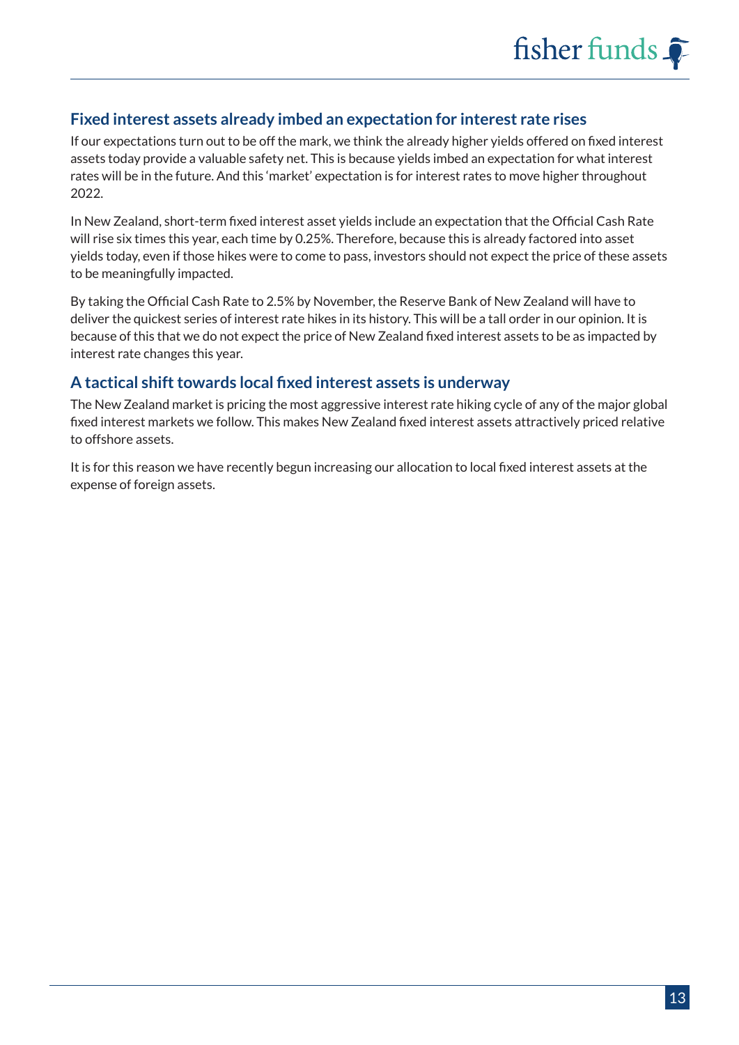#### **Fixed interest assets already imbed an expectation for interest rate rises**

If our expectations turn out to be off the mark, we think the already higher yields offered on fixed interest assets today provide a valuable safety net. This is because yields imbed an expectation for what interest rates will be in the future. And this 'market' expectation is for interest rates to move higher throughout 2022.

In New Zealand, short-term fixed interest asset yields include an expectation that the Official Cash Rate will rise six times this year, each time by 0.25%. Therefore, because this is already factored into asset yields today, even if those hikes were to come to pass, investors should not expect the price of these assets to be meaningfully impacted.

By taking the Official Cash Rate to 2.5% by November, the Reserve Bank of New Zealand will have to deliver the quickest series of interest rate hikes in its history. This will be a tall order in our opinion. It is because of this that we do not expect the price of New Zealand fixed interest assets to be as impacted by interest rate changes this year.

#### **A tactical shift towards local fixed interest assets is underway**

The New Zealand market is pricing the most aggressive interest rate hiking cycle of any of the major global fixed interest markets we follow. This makes New Zealand fixed interest assets attractively priced relative to offshore assets.

It is for this reason we have recently begun increasing our allocation to local fixed interest assets at the expense of foreign assets.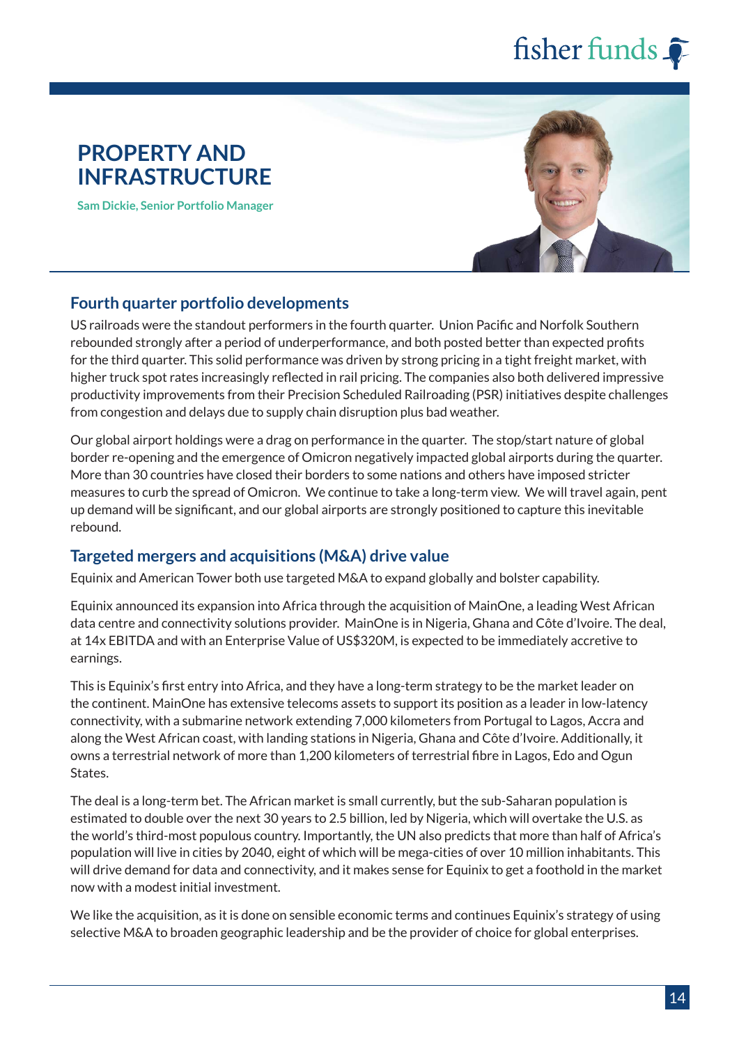### **PROPERTY AND INFRASTRUCTURE**

**Sam Dickie, Senior Portfolio Manager**



#### **Fourth quarter portfolio developments**

US railroads were the standout performers in the fourth quarter. Union Pacific and Norfolk Southern rebounded strongly after a period of underperformance, and both posted better than expected profits for the third quarter. This solid performance was driven by strong pricing in a tight freight market, with higher truck spot rates increasingly reflected in rail pricing. The companies also both delivered impressive productivity improvements from their Precision Scheduled Railroading (PSR) initiatives despite challenges from congestion and delays due to supply chain disruption plus bad weather.

Our global airport holdings were a drag on performance in the quarter. The stop/start nature of global border re-opening and the emergence of Omicron negatively impacted global airports during the quarter. More than 30 countries have closed their borders to some nations and others have imposed stricter measures to curb the spread of Omicron. We continue to take a long-term view. We will travel again, pent up demand will be significant, and our global airports are strongly positioned to capture this inevitable rebound.

#### **Targeted mergers and acquisitions (M&A) drive value**

Equinix and American Tower both use targeted M&A to expand globally and bolster capability.

Equinix announced its expansion into Africa through the acquisition of MainOne, a leading West African data centre and connectivity solutions provider. MainOne is in Nigeria, Ghana and Côte d'Ivoire. The deal, at 14x EBITDA and with an Enterprise Value of US\$320M, is expected to be immediately accretive to earnings.

This is Equinix's first entry into Africa, and they have a long-term strategy to be the market leader on the continent. MainOne has extensive telecoms assets to support its position as a leader in low-latency connectivity, with a submarine network extending 7,000 kilometers from Portugal to Lagos, Accra and along the West African coast, with landing stations in Nigeria, Ghana and Côte d'Ivoire. Additionally, it owns a terrestrial network of more than 1,200 kilometers of terrestrial fibre in Lagos, Edo and Ogun States.

The deal is a long-term bet. The African market is small currently, but the sub-Saharan population is estimated to double over the next 30 years to 2.5 billion, led by Nigeria, which will overtake the U.S. as the world's third-most populous country. Importantly, the UN also predicts that more than half of Africa's population will live in cities by 2040, eight of which will be mega-cities of over 10 million inhabitants. This will drive demand for data and connectivity, and it makes sense for Equinix to get a foothold in the market now with a modest initial investment.

We like the acquisition, as it is done on sensible economic terms and continues Equinix's strategy of using selective M&A to broaden geographic leadership and be the provider of choice for global enterprises.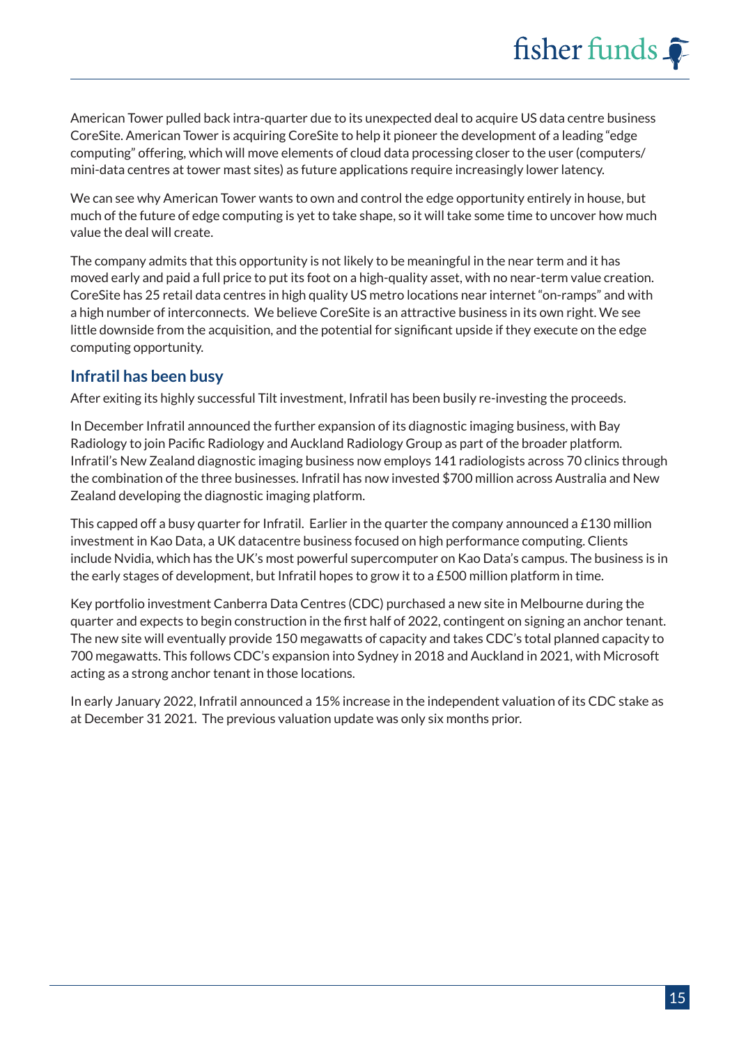American Tower pulled back intra-quarter due to its unexpected deal to acquire US data centre business CoreSite. American Tower is acquiring CoreSite to help it pioneer the development of a leading "edge computing" offering, which will move elements of cloud data processing closer to the user (computers/ mini-data centres at tower mast sites) as future applications require increasingly lower latency.

We can see why American Tower wants to own and control the edge opportunity entirely in house, but much of the future of edge computing is yet to take shape, so it will take some time to uncover how much value the deal will create.

The company admits that this opportunity is not likely to be meaningful in the near term and it has moved early and paid a full price to put its foot on a high-quality asset, with no near-term value creation. CoreSite has 25 retail data centres in high quality US metro locations near internet "on-ramps" and with a high number of interconnects. We believe CoreSite is an attractive business in its own right. We see little downside from the acquisition, and the potential for significant upside if they execute on the edge computing opportunity.

#### **Infratil has been busy**

After exiting its highly successful Tilt investment, Infratil has been busily re-investing the proceeds.

In December Infratil announced the further expansion of its diagnostic imaging business, with Bay Radiology to join Pacific Radiology and Auckland Radiology Group as part of the broader platform. Infratil's New Zealand diagnostic imaging business now employs 141 radiologists across 70 clinics through the combination of the three businesses. Infratil has now invested \$700 million across Australia and New Zealand developing the diagnostic imaging platform.

This capped off a busy quarter for Infratil. Earlier in the quarter the company announced a £130 million investment in Kao Data, a UK datacentre business focused on high performance computing. Clients include Nvidia, which has the UK's most powerful supercomputer on Kao Data's campus. The business is in the early stages of development, but Infratil hopes to grow it to a £500 million platform in time.

Key portfolio investment Canberra Data Centres (CDC) purchased a new site in Melbourne during the quarter and expects to begin construction in the first half of 2022, contingent on signing an anchor tenant. The new site will eventually provide 150 megawatts of capacity and takes CDC's total planned capacity to 700 megawatts. This follows CDC's expansion into Sydney in 2018 and Auckland in 2021, with Microsoft acting as a strong anchor tenant in those locations.

In early January 2022, Infratil announced a 15% increase in the independent valuation of its CDC stake as at December 31 2021. The previous valuation update was only six months prior.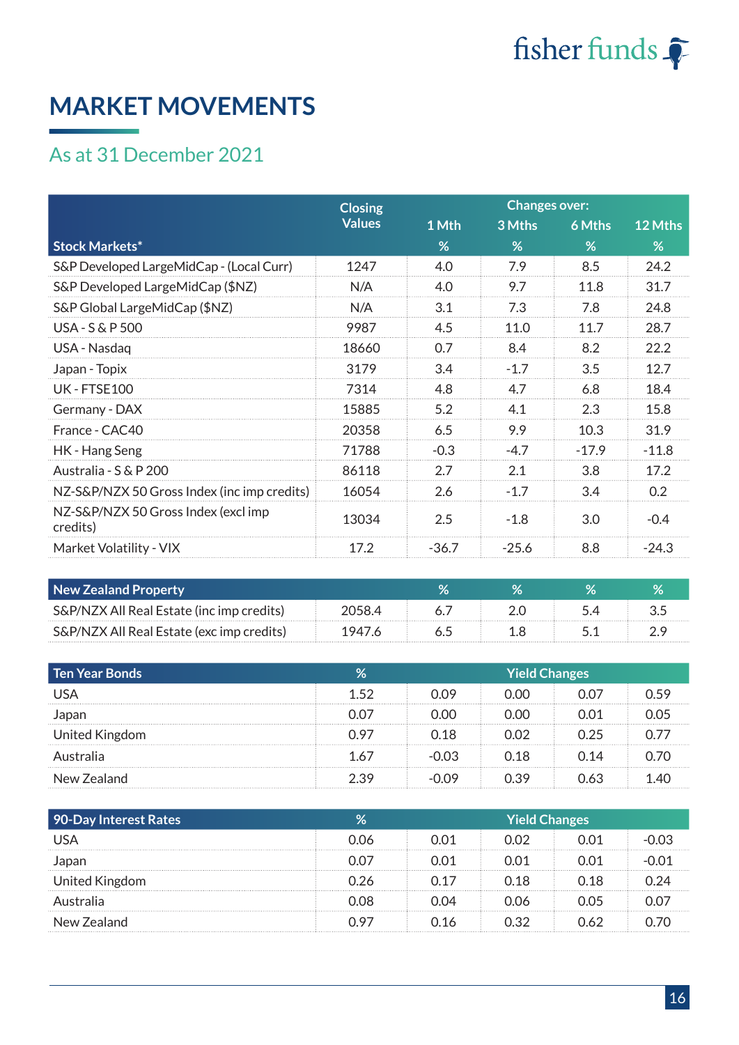

## **MARKET MOVEMENTS**

## As at 31 December 2021

|                                                 | <b>Closing</b> |         | <b>Changes over:</b> |               |         |
|-------------------------------------------------|----------------|---------|----------------------|---------------|---------|
|                                                 | <b>Values</b>  | 1 Mth   | 3 Mths               | <b>6 Mths</b> | 12 Mths |
| <b>Stock Markets*</b>                           |                | %       | %                    | %             | %       |
| S&P Developed LargeMidCap - (Local Curr)        | 1247           | 4.0     | 7.9                  | 8.5           | 24.2    |
| S&P Developed LargeMidCap (\$NZ)                | N/A            | 4.0     | 9.7                  | 11.8          | 31.7    |
| S&P Global LargeMidCap (\$NZ)                   | N/A            | 3.1     | 7.3                  | 7.8           | 24.8    |
| <b>USA - S &amp; P 500</b>                      | 9987           | 4.5     | 11.0                 | 11.7          | 28.7    |
| USA - Nasdaq                                    | 18660          | 0.7     | 8.4                  | 8.2           | 22.2    |
| Japan - Topix                                   | 3179           | 3.4     | $-1.7$               | 3.5           | 12.7    |
| UK - FTSF100                                    | 7314           | 4.8     | 4.7                  | 6.8           | 18.4    |
| Germany - DAX                                   | 15885          | 5.2     | 4.1                  | 2.3           | 15.8    |
| France - CAC40                                  | 20358          | 6.5     | 9.9                  | 10.3          | 31.9    |
| HK - Hang Seng                                  | 71788          | $-0.3$  | $-4.7$               | $-17.9$       | $-11.8$ |
| Australia - S & P 200                           | 86118          | 2.7     | 2.1                  | 3.8           | 17.2    |
| NZ-S&P/NZX 50 Gross Index (inc imp credits)     | 16054          | 2.6     | $-1.7$               | 3.4           | 0.2     |
| NZ-S&P/NZX 50 Gross Index (excl imp<br>credits) | 13034          | 2.5     | $-1.8$               | 3.0           | $-0.4$  |
| Market Volatility - VIX                         | 17.2           | $-36.7$ | $-25.6$              | 8.8           | $-24.3$ |

| <b>New Zealand Property</b>               |  |  |  |
|-------------------------------------------|--|--|--|
| S&P/NZX All Real Estate (inc imp credits) |  |  |  |
| S&P/NZX All Real Estate (exc imp credits) |  |  |  |

| Ten Year Bonds | $\%$ | Yield Changes |       |       |  |  |
|----------------|------|---------------|-------|-------|--|--|
| ' ISA          | 152  | ገ በ9          | ).00  |       |  |  |
| Japan          |      | ገ በበ          | ഥറ    | N N 1 |  |  |
| United Kingdom | N 97 | ೧.18          | ນດ2.  | 0.25  |  |  |
| Australia      | 1 67 | በ በ3          | ೧.18. | N 14  |  |  |
| New Zealand    | C C  |               | ) 39  | ገ 63  |  |  |

| 90-Day Interest Rates | %     | Yield Changes |      |      |  |
|-----------------------|-------|---------------|------|------|--|
| USA                   | 0.06  | 0.O1          | 0.02 | ገ በ1 |  |
| Japan                 |       | 0.O1          | ገ በ1 |      |  |
| United Kingdom        |       | በ 17          | 0.18 | 0.18 |  |
| Australia             | 2 U C | ገ በ4          | 0.06 | ገ በ5 |  |
| New Zealand           | ገ 97  | ገ 16          | ን 32 | ገ 62 |  |